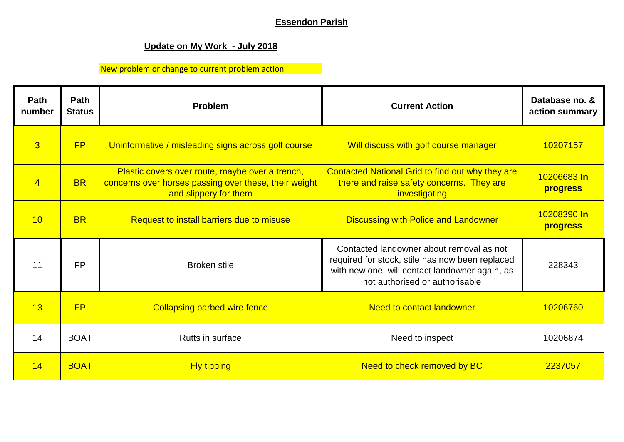## **Essendon Parish**

## **Update on My Work - July 2018**

## New problem or change to current problem action

| <b>Path</b><br>number | Path<br><b>Status</b> | <b>Problem</b>                                                                                                                    | <b>Current Action</b>                                                                                                                                                           | Database no. &<br>action summary |
|-----------------------|-----------------------|-----------------------------------------------------------------------------------------------------------------------------------|---------------------------------------------------------------------------------------------------------------------------------------------------------------------------------|----------------------------------|
| $\overline{3}$        | <b>FP</b>             | Uninformative / misleading signs across golf course                                                                               | Will discuss with golf course manager                                                                                                                                           | 10207157                         |
| $\overline{4}$        | <b>BR</b>             | Plastic covers over route, maybe over a trench,<br>concerns over horses passing over these, their weight<br>and slippery for them | Contacted National Grid to find out why they are<br>there and raise safety concerns. They are<br>investigating                                                                  | 10206683 In<br>progress          |
| 10                    | <b>BR</b>             | Request to install barriers due to misuse                                                                                         | <b>Discussing with Police and Landowner</b>                                                                                                                                     | 10208390 In<br>progress          |
| 11                    | <b>FP</b>             | <b>Broken stile</b>                                                                                                               | Contacted landowner about removal as not<br>required for stock, stile has now been replaced<br>with new one, will contact landowner again, as<br>not authorised or authorisable | 228343                           |
| 13                    | FP                    | <b>Collapsing barbed wire fence</b>                                                                                               | <b>Need to contact landowner</b>                                                                                                                                                | 10206760                         |
| 14                    | <b>BOAT</b>           | Rutts in surface                                                                                                                  | Need to inspect                                                                                                                                                                 | 10206874                         |
| 14                    | <b>BOAT</b>           | <b>Fly tipping</b>                                                                                                                | Need to check removed by BC                                                                                                                                                     | 2237057                          |